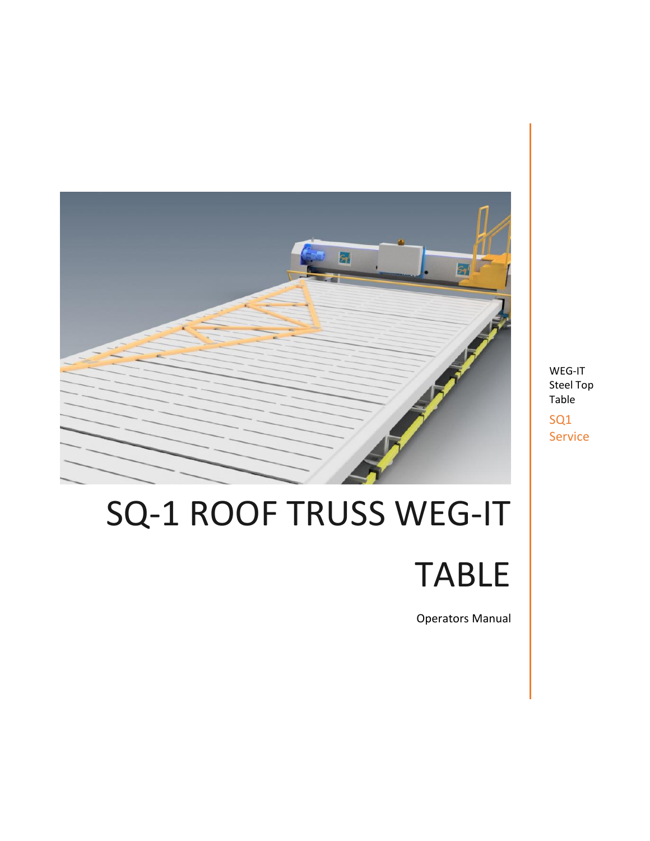

# SQ-1 ROOF TRUSS WEG-IT TABLE

Operators Manual

WEG-IT Steel Top Table SQ1 Service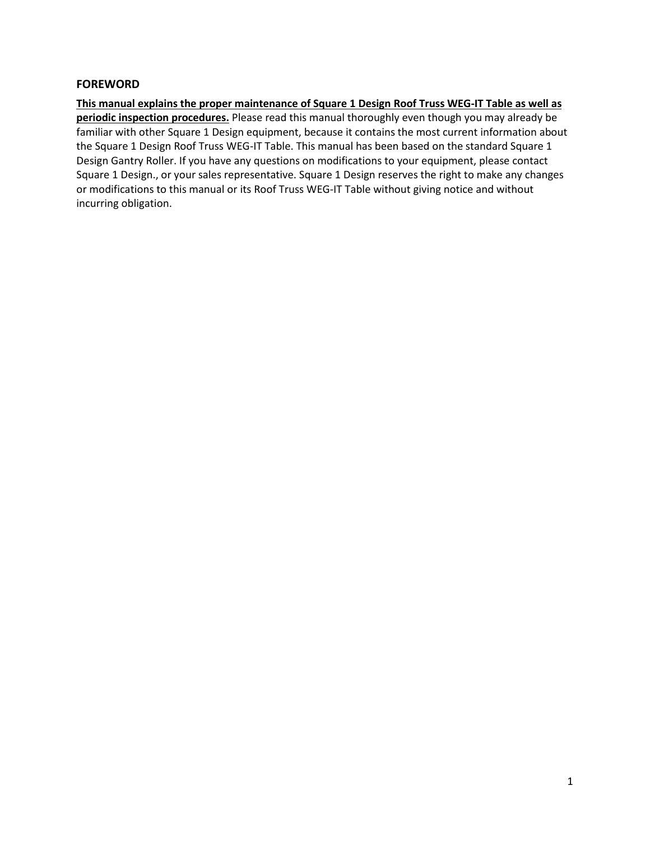#### **FOREWORD**

**This manual explains the proper maintenance of Square 1 Design Roof Truss WEG-IT Table as well as periodic inspection procedures.** Please read this manual thoroughly even though you may already be familiar with other Square 1 Design equipment, because it contains the most current information about the Square 1 Design Roof Truss WEG-IT Table. This manual has been based on the standard Square 1 Design Gantry Roller. If you have any questions on modifications to your equipment, please contact Square 1 Design., or your sales representative. Square 1 Design reserves the right to make any changes or modifications to this manual or its Roof Truss WEG-IT Table without giving notice and without incurring obligation.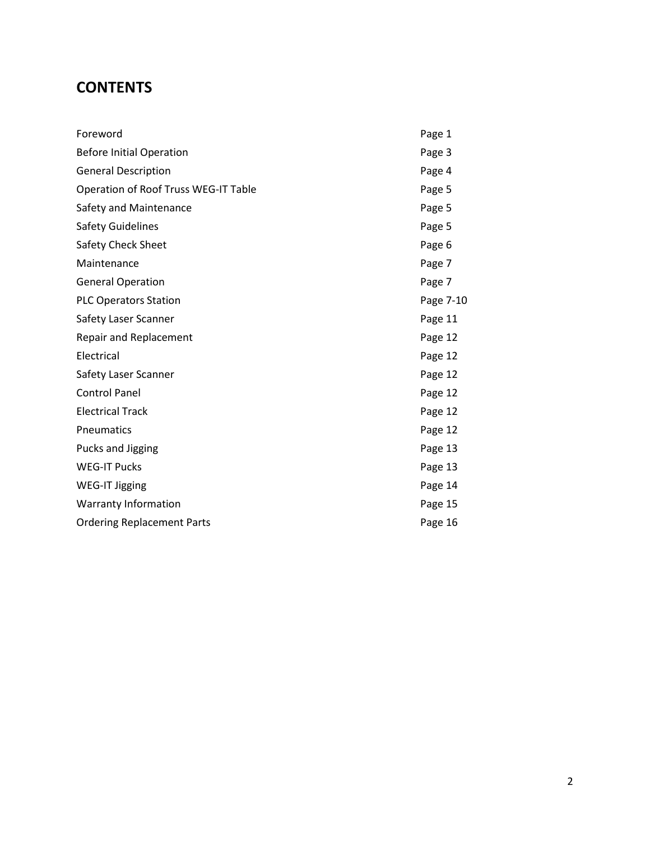## **CONTENTS**

| Foreword                                    | Page 1    |
|---------------------------------------------|-----------|
| <b>Before Initial Operation</b>             | Page 3    |
| <b>General Description</b>                  | Page 4    |
| <b>Operation of Roof Truss WEG-IT Table</b> | Page 5    |
| Safety and Maintenance                      | Page 5    |
| <b>Safety Guidelines</b>                    | Page 5    |
| Safety Check Sheet                          | Page 6    |
| Maintenance                                 | Page 7    |
| <b>General Operation</b>                    | Page 7    |
| <b>PLC Operators Station</b>                | Page 7-10 |
| Safety Laser Scanner                        | Page 11   |
| <b>Repair and Replacement</b>               | Page 12   |
| Electrical                                  | Page 12   |
| Safety Laser Scanner                        | Page 12   |
| <b>Control Panel</b>                        | Page 12   |
| <b>Electrical Track</b>                     | Page 12   |
| Pneumatics                                  | Page 12   |
| Pucks and Jigging                           | Page 13   |
| <b>WEG-IT Pucks</b>                         | Page 13   |
| <b>WEG-IT Jigging</b>                       | Page 14   |
| <b>Warranty Information</b>                 | Page 15   |
| <b>Ordering Replacement Parts</b>           | Page 16   |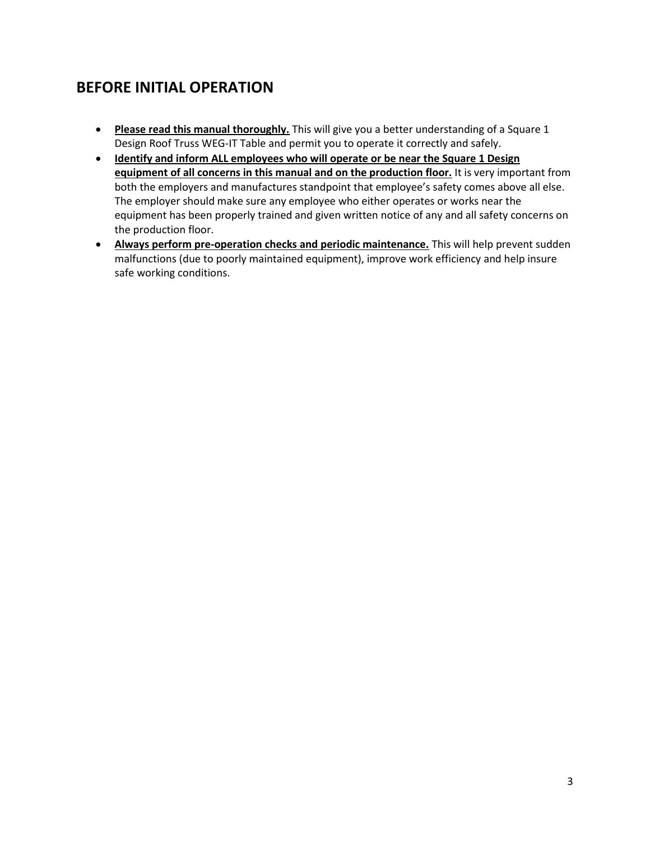## **BEFORE INITIAL OPERATION**

- **Please read this manual thoroughly.** This will give you a better understanding of a Square 1 Design Roof Truss WEG-IT Table and permit you to operate it correctly and safely.
- **Identify and inform ALL employees who will operate or be near the Square 1 Design equipment of all concerns in this manual and on the production floor.** It is very important from both the employers and manufactures standpoint that employee's safety comes above all else. The employer should make sure any employee who either operates or works near the equipment has been properly trained and given written notice of any and all safety concerns on the production floor.
- **Always perform pre-operation checks and periodic maintenance.** This will help prevent sudden malfunctions (due to poorly maintained equipment), improve work efficiency and help insure safe working conditions.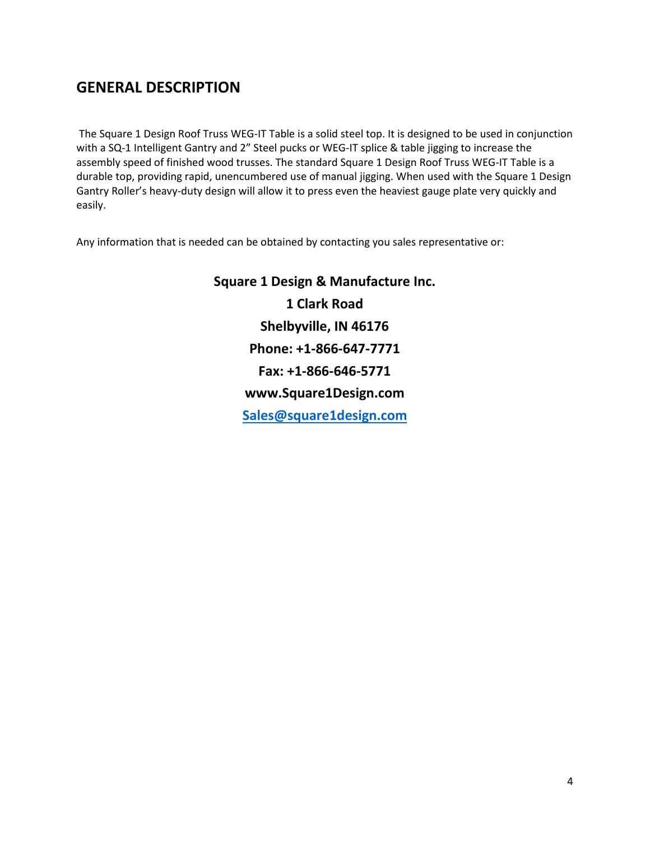## **GENERAL DESCRIPTION**

The Square 1 Design Roof Truss WEG-IT Table is a solid steel top. It is designed to be used in conjunction with a SQ-1 Intelligent Gantry and 2" Steel pucks or WEG-IT splice & table jigging to increase the assembly speed of finished wood trusses. The standard Square 1 Design Roof Truss WEG-IT Table is a durable top, providing rapid, unencumbered use of manual jigging. When used with the Square 1 Design Gantry Roller's heavy-duty design will allow it to press even the heaviest gauge plate very quickly and easily.

Any information that is needed can be obtained by contacting you sales representative or:

**Square 1 Design & Manufacture Inc. 1 Clark Road Shelbyville, IN 46176 Phone: +1-866-647-7771 Fax: +1-866-646-5771 www.Square1Design.com [Sales@square1design.com](mailto:Sales@square1design.com)**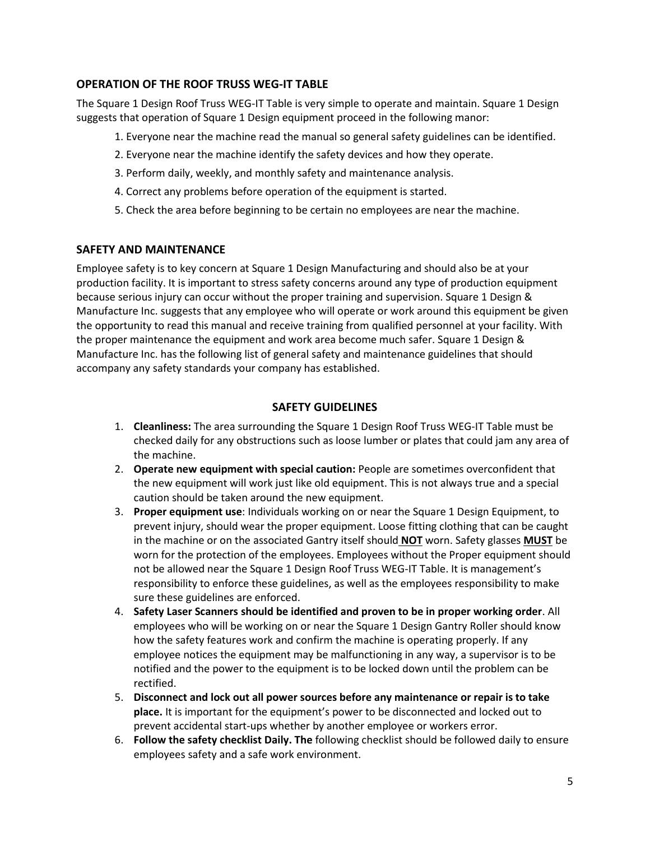#### **OPERATION OF THE ROOF TRUSS WEG-IT TABLE**

The Square 1 Design Roof Truss WEG-IT Table is very simple to operate and maintain. Square 1 Design suggests that operation of Square 1 Design equipment proceed in the following manor:

- 1. Everyone near the machine read the manual so general safety guidelines can be identified.
- 2. Everyone near the machine identify the safety devices and how they operate.
- 3. Perform daily, weekly, and monthly safety and maintenance analysis.
- 4. Correct any problems before operation of the equipment is started.
- 5. Check the area before beginning to be certain no employees are near the machine.

#### **SAFETY AND MAINTENANCE**

Employee safety is to key concern at Square 1 Design Manufacturing and should also be at your production facility. It is important to stress safety concerns around any type of production equipment because serious injury can occur without the proper training and supervision. Square 1 Design & Manufacture Inc. suggests that any employee who will operate or work around this equipment be given the opportunity to read this manual and receive training from qualified personnel at your facility. With the proper maintenance the equipment and work area become much safer. Square 1 Design & Manufacture Inc. has the following list of general safety and maintenance guidelines that should accompany any safety standards your company has established.

#### **SAFETY GUIDELINES**

- 1. **Cleanliness:** The area surrounding the Square 1 Design Roof Truss WEG-IT Table must be checked daily for any obstructions such as loose lumber or plates that could jam any area of the machine.
- 2. **Operate new equipment with special caution:** People are sometimes overconfident that the new equipment will work just like old equipment. This is not always true and a special caution should be taken around the new equipment.
- 3. **Proper equipment use**: Individuals working on or near the Square 1 Design Equipment, to prevent injury, should wear the proper equipment. Loose fitting clothing that can be caught in the machine or on the associated Gantry itself should **NOT** worn. Safety glasses **MUST** be worn for the protection of the employees. Employees without the Proper equipment should not be allowed near the Square 1 Design Roof Truss WEG-IT Table. It is management's responsibility to enforce these guidelines, as well as the employees responsibility to make sure these guidelines are enforced.
- 4. **Safety Laser Scanners should be identified and proven to be in proper working order**. All employees who will be working on or near the Square 1 Design Gantry Roller should know how the safety features work and confirm the machine is operating properly. If any employee notices the equipment may be malfunctioning in any way, a supervisor is to be notified and the power to the equipment is to be locked down until the problem can be rectified.
- 5. **Disconnect and lock out all power sources before any maintenance or repair is to take place.** It is important for the equipment's power to be disconnected and locked out to prevent accidental start-ups whether by another employee or workers error.
- 6. **Follow the safety checklist Daily. The** following checklist should be followed daily to ensure employees safety and a safe work environment.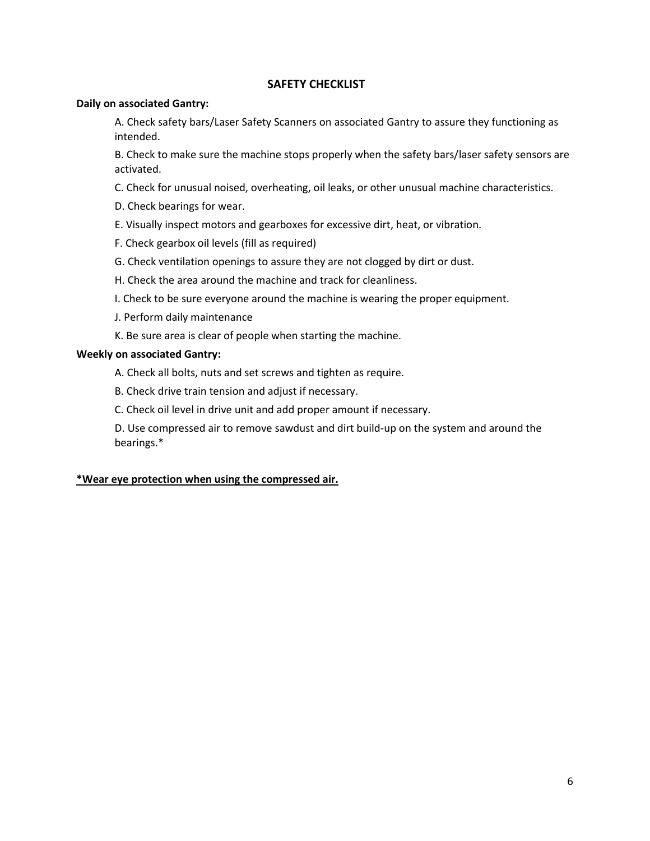#### **SAFETY CHECKLIST**

#### **Daily on associated Gantry:**

A. Check safety bars/Laser Safety Scanners on associated Gantry to assure they functioning as intended.

B. Check to make sure the machine stops properly when the safety bars/laser safety sensors are activated.

C. Check for unusual noised, overheating, oil leaks, or other unusual machine characteristics.

- D. Check bearings for wear.
- E. Visually inspect motors and gearboxes for excessive dirt, heat, or vibration.
- F. Check gearbox oil levels (fill as required)
- G. Check ventilation openings to assure they are not clogged by dirt or dust.
- H. Check the area around the machine and track for cleanliness.
- I. Check to be sure everyone around the machine is wearing the proper equipment.
- J. Perform daily maintenance
- K. Be sure area is clear of people when starting the machine.

#### **Weekly on associated Gantry:**

- A. Check all bolts, nuts and set screws and tighten as require.
- B. Check drive train tension and adjust if necessary.
- C. Check oil level in drive unit and add proper amount if necessary.

D. Use compressed air to remove sawdust and dirt build-up on the system and around the bearings.\*

#### **\*Wear eye protection when using the compressed air.**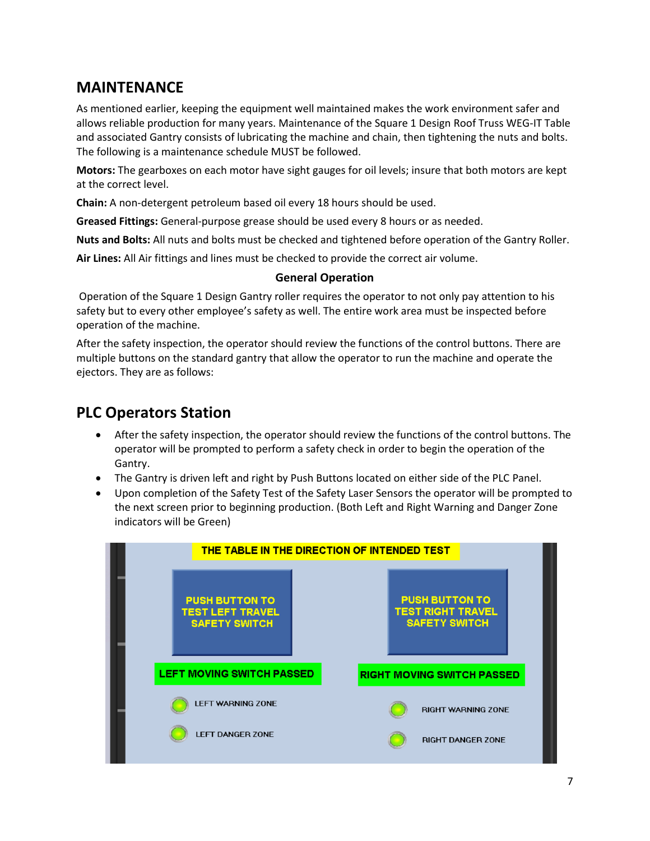## **MAINTENANCE**

As mentioned earlier, keeping the equipment well maintained makes the work environment safer and allows reliable production for many years. Maintenance of the Square 1 Design Roof Truss WEG-IT Table and associated Gantry consists of lubricating the machine and chain, then tightening the nuts and bolts. The following is a maintenance schedule MUST be followed.

**Motors:** The gearboxes on each motor have sight gauges for oil levels; insure that both motors are kept at the correct level.

**Chain:** A non-detergent petroleum based oil every 18 hours should be used.

**Greased Fittings:** General-purpose grease should be used every 8 hours or as needed.

**Nuts and Bolts:** All nuts and bolts must be checked and tightened before operation of the Gantry Roller.

**Air Lines:** All Air fittings and lines must be checked to provide the correct air volume.

#### **General Operation**

Operation of the Square 1 Design Gantry roller requires the operator to not only pay attention to his safety but to every other employee's safety as well. The entire work area must be inspected before operation of the machine.

After the safety inspection, the operator should review the functions of the control buttons. There are multiple buttons on the standard gantry that allow the operator to run the machine and operate the ejectors. They are as follows:

## **PLC Operators Station**

- After the safety inspection, the operator should review the functions of the control buttons. The operator will be prompted to perform a safety check in order to begin the operation of the Gantry.
- The Gantry is driven left and right by Push Buttons located on either side of the PLC Panel.
- Upon completion of the Safety Test of the Safety Laser Sensors the operator will be prompted to the next screen prior to beginning production. (Both Left and Right Warning and Danger Zone indicators will be Green)

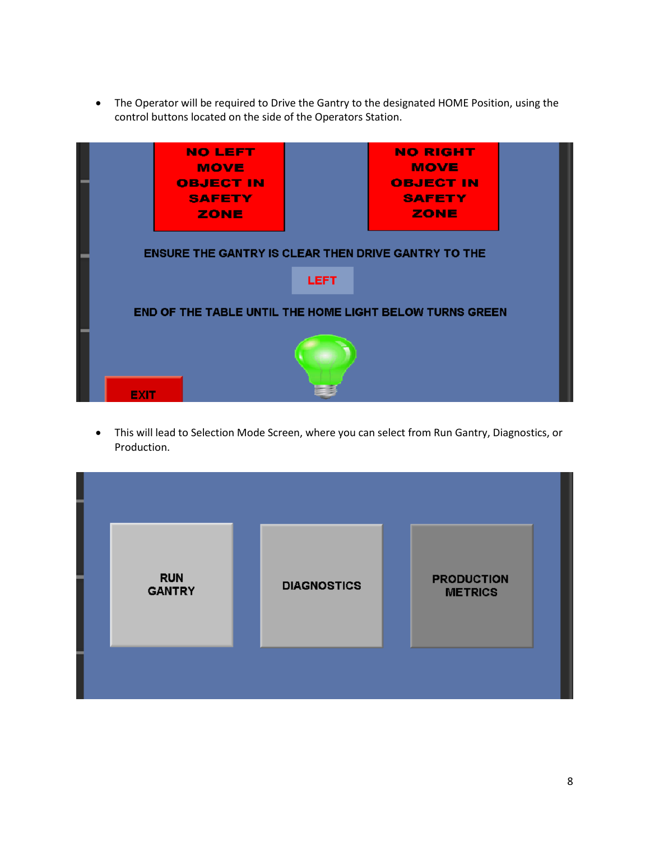• The Operator will be required to Drive the Gantry to the designated HOME Position, using the control buttons located on the side of the Operators Station.



• This will lead to Selection Mode Screen, where you can select from Run Gantry, Diagnostics, or Production.

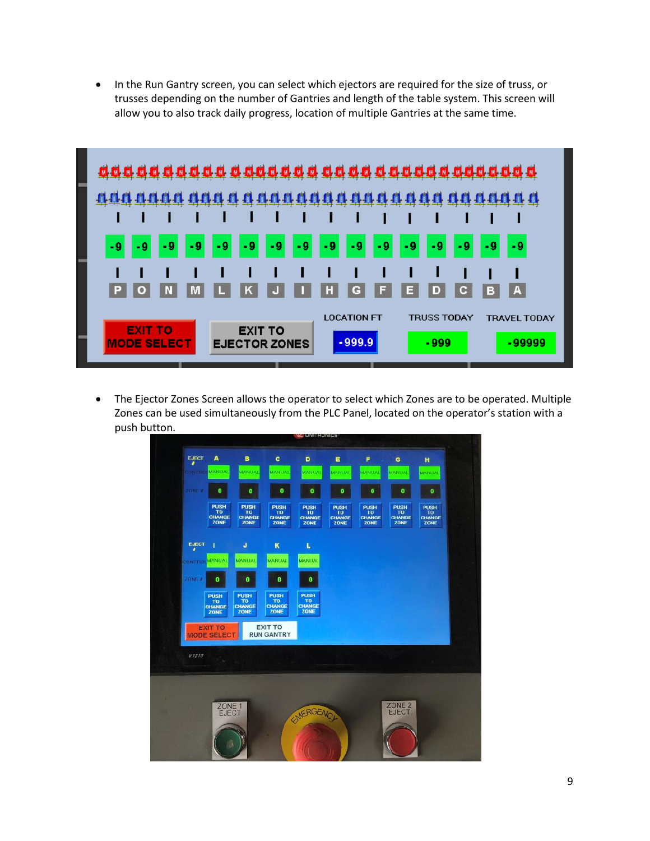• In the Run Gantry screen, you can select which ejectors are required for the size of truss, or trusses depending on the number of Gantries and length of the table system. This screen will allow you to also track daily progress, location of multiple Gantries at the same time.



• The Ejector Zones Screen allows the operator to select which Zones are to be operated. Multiple Zones can be used simultaneously from the PLC Panel, located on the operator's station with a push button.

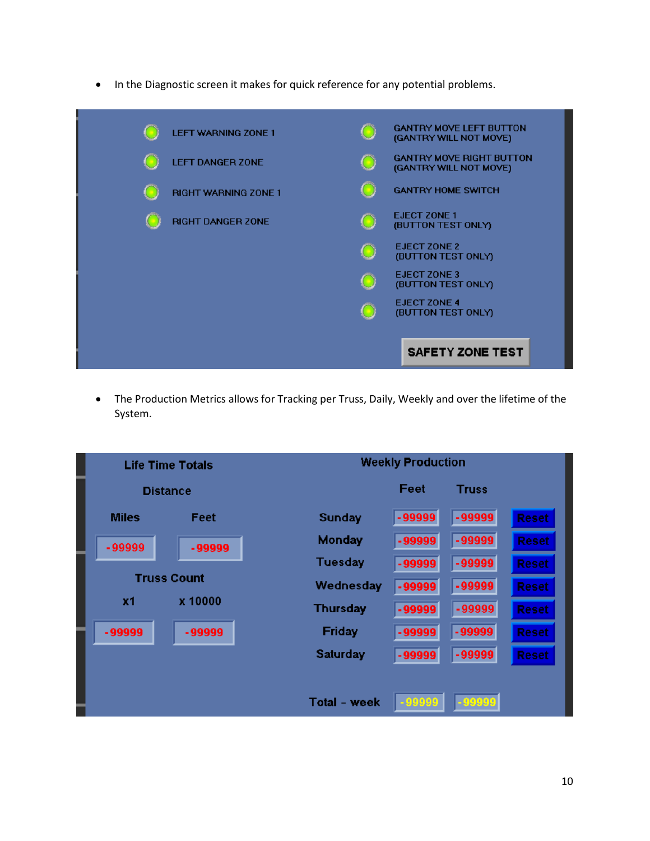• In the Diagnostic screen it makes for quick reference for any potential problems.



• The Production Metrics allows for Tracking per Truss, Daily, Weekly and over the lifetime of the System.

|                    | <b>Life Time Totals</b> |                     | <b>Weekly Production</b> |              |              |
|--------------------|-------------------------|---------------------|--------------------------|--------------|--------------|
|                    | <b>Distance</b>         |                     | Feet                     | <b>Truss</b> |              |
| <b>Miles</b>       | Feet                    | Sunday              | -99999                   | $-99999$     | <b>Reset</b> |
| $-99999$           | $-99999$                | Monday              | $-99999$                 | $-99999$     | <b>Reset</b> |
|                    |                         | <b>Tuesday</b>      | $-99999$                 | $-99999$     | <b>Reset</b> |
| <b>Truss Count</b> | Wednesday               | $-99999$            | $-99999$                 | <b>Reset</b> |              |
| <b>x1</b>          | x 10000                 | <b>Thursday</b>     | $-99999$                 | $-99999$     | <b>Reset</b> |
| $-99999$           | $-99999$                | Friday              | $-99999$                 | $-99999$     | <b>Reset</b> |
|                    |                         | Saturday            | $-99999$                 | $-99999$     | <b>Reset</b> |
|                    |                         |                     |                          |              |              |
|                    |                         | <b>Total - week</b> | $-99999$                 | 99999        |              |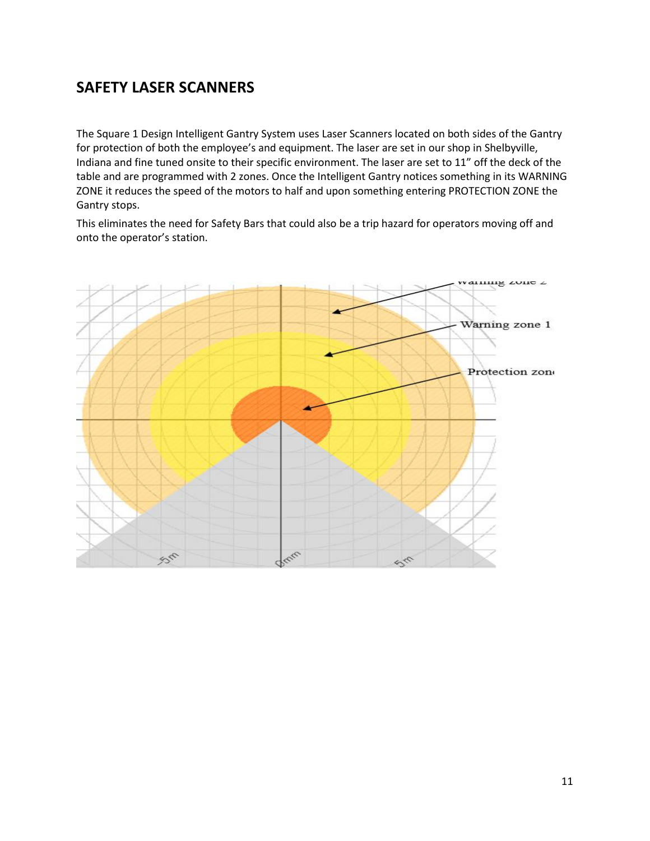## **SAFETY LASER SCANNERS**

The Square 1 Design Intelligent Gantry System uses Laser Scanners located on both sides of the Gantry for protection of both the employee's and equipment. The laser are set in our shop in Shelbyville, Indiana and fine tuned onsite to their specific environment. The laser are set to 11" off the deck of the table and are programmed with 2 zones. Once the Intelligent Gantry notices something in its WARNING ZONE it reduces the speed of the motors to half and upon something entering PROTECTION ZONE the Gantry stops.

This eliminates the need for Safety Bars that could also be a trip hazard for operators moving off and onto the operator's station.

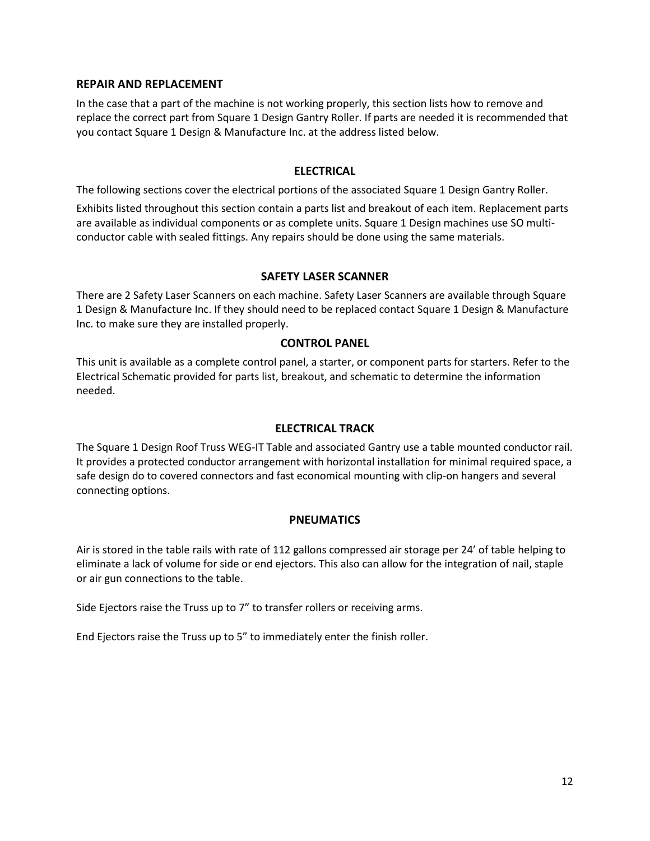#### **REPAIR AND REPLACEMENT**

In the case that a part of the machine is not working properly, this section lists how to remove and replace the correct part from Square 1 Design Gantry Roller. If parts are needed it is recommended that you contact Square 1 Design & Manufacture Inc. at the address listed below.

#### **ELECTRICAL**

The following sections cover the electrical portions of the associated Square 1 Design Gantry Roller.

Exhibits listed throughout this section contain a parts list and breakout of each item. Replacement parts are available as individual components or as complete units. Square 1 Design machines use SO multiconductor cable with sealed fittings. Any repairs should be done using the same materials.

#### **SAFETY LASER SCANNER**

There are 2 Safety Laser Scanners on each machine. Safety Laser Scanners are available through Square 1 Design & Manufacture Inc. If they should need to be replaced contact Square 1 Design & Manufacture Inc. to make sure they are installed properly.

#### **CONTROL PANEL**

This unit is available as a complete control panel, a starter, or component parts for starters. Refer to the Electrical Schematic provided for parts list, breakout, and schematic to determine the information needed.

#### **ELECTRICAL TRACK**

The Square 1 Design Roof Truss WEG-IT Table and associated Gantry use a table mounted conductor rail. It provides a protected conductor arrangement with horizontal installation for minimal required space, a safe design do to covered connectors and fast economical mounting with clip-on hangers and several connecting options.

#### **PNEUMATICS**

Air is stored in the table rails with rate of 112 gallons compressed air storage per 24' of table helping to eliminate a lack of volume for side or end ejectors. This also can allow for the integration of nail, staple or air gun connections to the table.

Side Ejectors raise the Truss up to 7" to transfer rollers or receiving arms.

End Ejectors raise the Truss up to 5" to immediately enter the finish roller.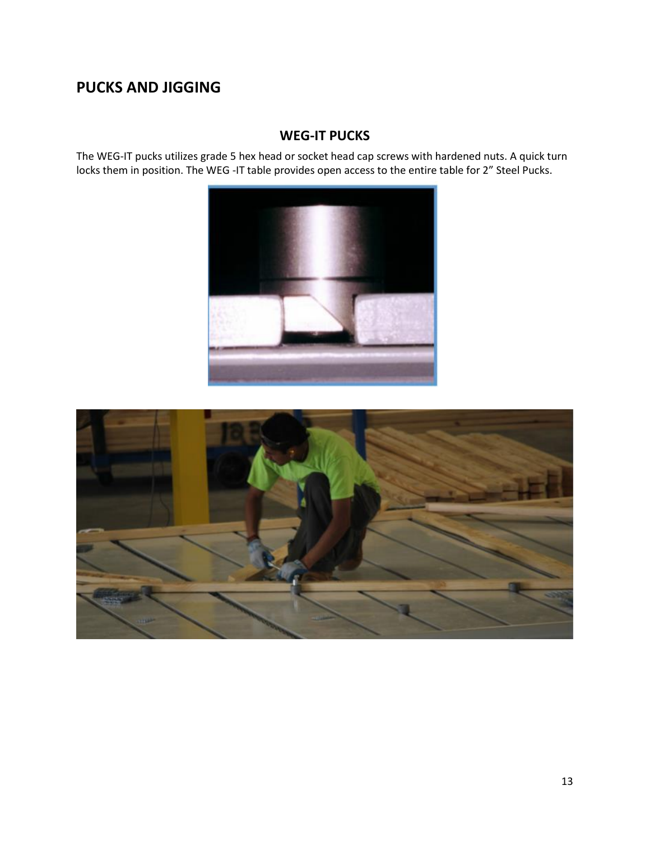## **PUCKS AND JIGGING**

#### **WEG-IT PUCKS**

The WEG-IT pucks utilizes grade 5 hex head or socket head cap screws with hardened nuts. A quick turn locks them in position. The WEG -IT table provides open access to the entire table for 2" Steel Pucks.



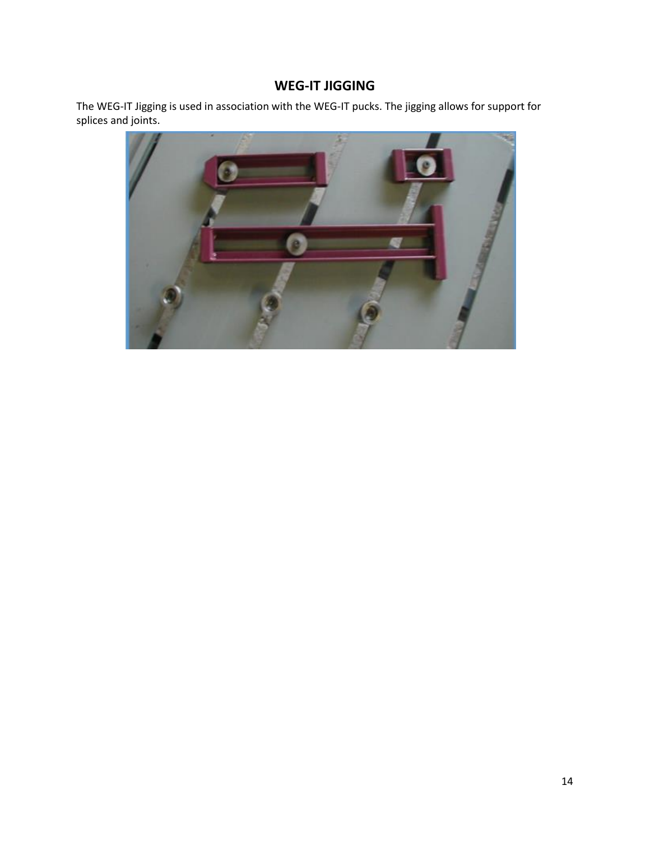#### **WEG-IT JIGGING**

The WEG-IT Jigging is used in association with the WEG-IT pucks. The jigging allows for support for splices and joints.

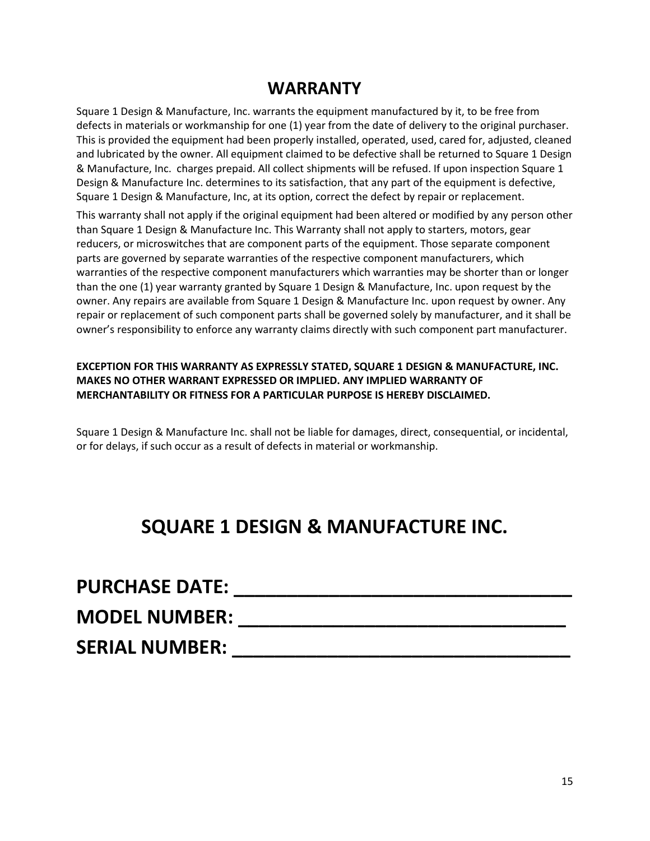## **WARRANTY**

Square 1 Design & Manufacture, Inc. warrants the equipment manufactured by it, to be free from defects in materials or workmanship for one (1) year from the date of delivery to the original purchaser. This is provided the equipment had been properly installed, operated, used, cared for, adjusted, cleaned and lubricated by the owner. All equipment claimed to be defective shall be returned to Square 1 Design & Manufacture, Inc. charges prepaid. All collect shipments will be refused. If upon inspection Square 1 Design & Manufacture Inc. determines to its satisfaction, that any part of the equipment is defective, Square 1 Design & Manufacture, Inc, at its option, correct the defect by repair or replacement.

This warranty shall not apply if the original equipment had been altered or modified by any person other than Square 1 Design & Manufacture Inc. This Warranty shall not apply to starters, motors, gear reducers, or microswitches that are component parts of the equipment. Those separate component parts are governed by separate warranties of the respective component manufacturers, which warranties of the respective component manufacturers which warranties may be shorter than or longer than the one (1) year warranty granted by Square 1 Design & Manufacture, Inc. upon request by the owner. Any repairs are available from Square 1 Design & Manufacture Inc. upon request by owner. Any repair or replacement of such component parts shall be governed solely by manufacturer, and it shall be owner's responsibility to enforce any warranty claims directly with such component part manufacturer.

#### **EXCEPTION FOR THIS WARRANTY AS EXPRESSLY STATED, SQUARE 1 DESIGN & MANUFACTURE, INC. MAKES NO OTHER WARRANT EXPRESSED OR IMPLIED. ANY IMPLIED WARRANTY OF MERCHANTABILITY OR FITNESS FOR A PARTICULAR PURPOSE IS HEREBY DISCLAIMED.**

Square 1 Design & Manufacture Inc. shall not be liable for damages, direct, consequential, or incidental, or for delays, if such occur as a result of defects in material or workmanship.

## **SQUARE 1 DESIGN & MANUFACTURE INC.**

| <b>PURCHASE DATE:</b> |  |
|-----------------------|--|
| <b>MODEL NUMBER:</b>  |  |
| <b>SERIAL NUMBER:</b> |  |